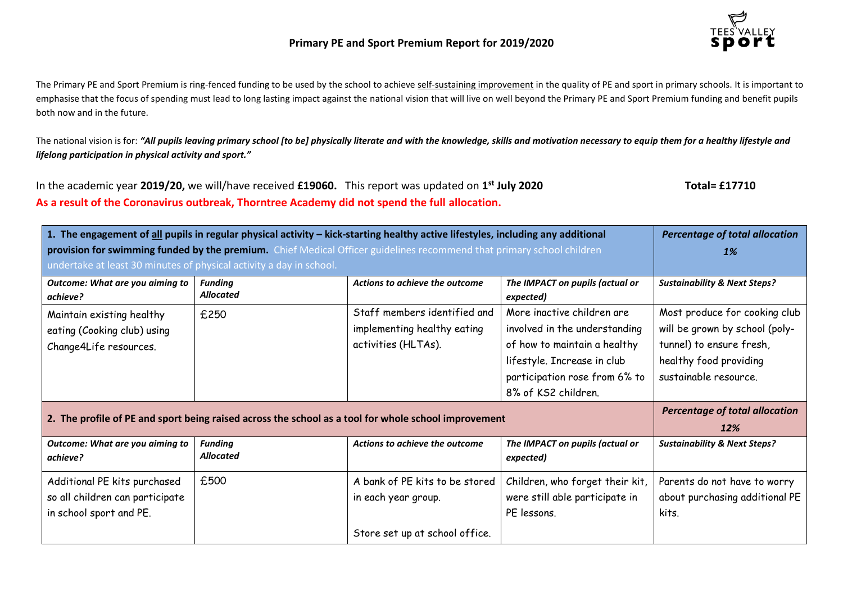

The Primary PE and Sport Premium is ring-fenced funding to be used by the school to achieve self-sustaining improvement in the quality of PE and sport in primary schools. It is important to emphasise that the focus of spending must lead to long lasting impact against the national vision that will live on well beyond the Primary PE and Sport Premium funding and benefit pupils both now and in the future.

The national vision is for: *"All pupils leaving primary school [to be] physically literate and with the knowledge, skills and motivation necessary to equip them for a healthy lifestyle and lifelong participation in physical activity and sport."*

In the academic year **2019/20,** we will/have received **£19060.** This report was updated on **1 st July 2020 Total= £17710 As a result of the Coronavirus outbreak, Thorntree Academy did not spend the full allocation.**

| 1. The engagement of all pupils in regular physical activity - kick-starting healthy active lifestyles, including any additional |                                    |                                |                                              | <b>Percentage of total allocation</b>   |
|----------------------------------------------------------------------------------------------------------------------------------|------------------------------------|--------------------------------|----------------------------------------------|-----------------------------------------|
| provision for swimming funded by the premium. Chief Medical Officer guidelines recommend that primary school children            |                                    |                                |                                              | <b>1%</b>                               |
| undertake at least 30 minutes of physical activity a day in school.                                                              |                                    |                                |                                              |                                         |
| Outcome: What are you aiming to<br>achieve?                                                                                      | <b>Funding</b><br><b>Allocated</b> | Actions to achieve the outcome | The IMPACT on pupils (actual or<br>expected) | <b>Sustainability &amp; Next Steps?</b> |
| Maintain existing healthy                                                                                                        | £250                               | Staff members identified and   | More inactive children are                   | Most produce for cooking club           |
| eating (Cooking club) using                                                                                                      |                                    | implementing healthy eating    | involved in the understanding                | will be grown by school (poly-          |
| Change4Life resources.                                                                                                           |                                    | activities (HLTAs).            | of how to maintain a healthy                 | tunnel) to ensure fresh,                |
|                                                                                                                                  |                                    |                                | lifestyle. Increase in club                  | healthy food providing                  |
|                                                                                                                                  |                                    |                                | participation rose from 6% to                | sustainable resource.                   |
|                                                                                                                                  |                                    |                                | 8% of KS2 children.                          |                                         |
|                                                                                                                                  |                                    |                                |                                              | <b>Percentage of total allocation</b>   |
| 2. The profile of PE and sport being raised across the school as a tool for whole school improvement                             |                                    |                                | 12%                                          |                                         |
| Outcome: What are you aiming to<br>achieve?                                                                                      | <b>Funding</b><br><b>Allocated</b> | Actions to achieve the outcome | The IMPACT on pupils (actual or<br>expected) | <b>Sustainability &amp; Next Steps?</b> |
| Additional PE kits purchased                                                                                                     | £500                               | A bank of PE kits to be stored | Children, who forget their kit,              | Parents do not have to worry            |
| so all children can participate                                                                                                  |                                    | in each year group.            | were still able participate in               | about purchasing additional PE          |
| in school sport and PE.                                                                                                          |                                    |                                | PE lessons.                                  | kits.                                   |
|                                                                                                                                  |                                    | Store set up at school office. |                                              |                                         |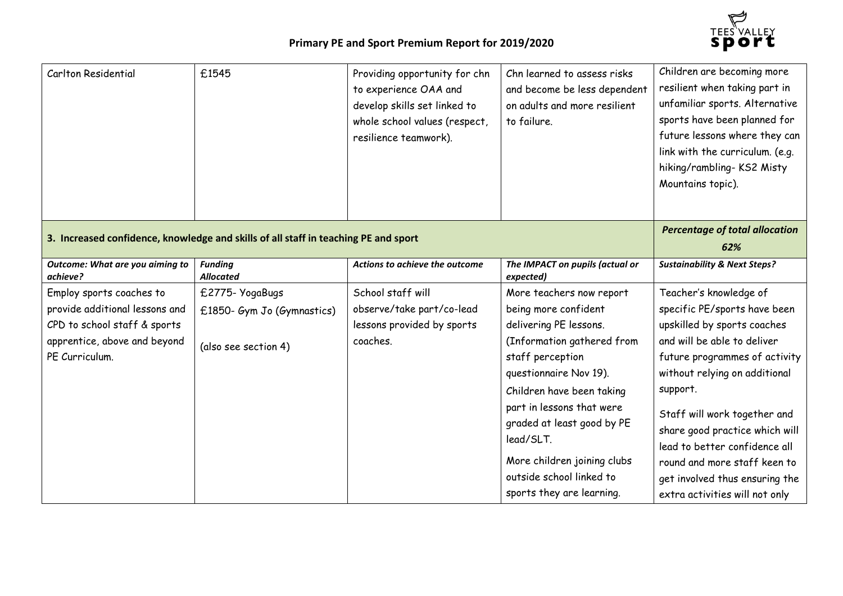

| Carlton Residential                                                                                                                          | £1545                                                                               | Providing opportunity for chn<br>to experience OAA and<br>develop skills set linked to<br>whole school values (respect,<br>resilience teamwork). | Chn learned to assess risks<br>and become be less dependent<br>on adults and more resilient<br>to failure.                                                                                                                                                                                                                                          | Children are becoming more<br>resilient when taking part in<br>unfamiliar sports. Alternative<br>sports have been planned for<br>future lessons where they can<br>link with the curriculum. (e.g.<br>hiking/rambling-KS2 Misty<br>Mountains topic).                                                                                                                                                       |
|----------------------------------------------------------------------------------------------------------------------------------------------|-------------------------------------------------------------------------------------|--------------------------------------------------------------------------------------------------------------------------------------------------|-----------------------------------------------------------------------------------------------------------------------------------------------------------------------------------------------------------------------------------------------------------------------------------------------------------------------------------------------------|-----------------------------------------------------------------------------------------------------------------------------------------------------------------------------------------------------------------------------------------------------------------------------------------------------------------------------------------------------------------------------------------------------------|
|                                                                                                                                              | 3. Increased confidence, knowledge and skills of all staff in teaching PE and sport |                                                                                                                                                  |                                                                                                                                                                                                                                                                                                                                                     | <b>Percentage of total allocation</b><br>62%                                                                                                                                                                                                                                                                                                                                                              |
| Outcome: What are you aiming to<br>achieve?                                                                                                  | <b>Funding</b><br><b>Allocated</b>                                                  | Actions to achieve the outcome                                                                                                                   | The IMPACT on pupils (actual or<br>expected)                                                                                                                                                                                                                                                                                                        | <b>Sustainability &amp; Next Steps?</b>                                                                                                                                                                                                                                                                                                                                                                   |
| Employ sports coaches to<br>provide additional lessons and<br>CPD to school staff & sports<br>apprentice, above and beyond<br>PE Curriculum. | £2775- YogaBugs<br>£1850- Gym Jo (Gymnastics)<br>(also see section 4)               | School staff will<br>observe/take part/co-lead<br>lessons provided by sports<br>coaches.                                                         | More teachers now report<br>being more confident<br>delivering PE lessons.<br>(Information gathered from<br>staff perception<br>questionnaire Nov 19).<br>Children have been taking<br>part in lessons that were<br>graded at least good by PE<br>lead/SLT.<br>More children joining clubs<br>outside school linked to<br>sports they are learning. | Teacher's knowledge of<br>specific PE/sports have been<br>upskilled by sports coaches<br>and will be able to deliver<br>future programmes of activity<br>without relying on additional<br>support.<br>Staff will work together and<br>share good practice which will<br>lead to better confidence all<br>round and more staff keen to<br>get involved thus ensuring the<br>extra activities will not only |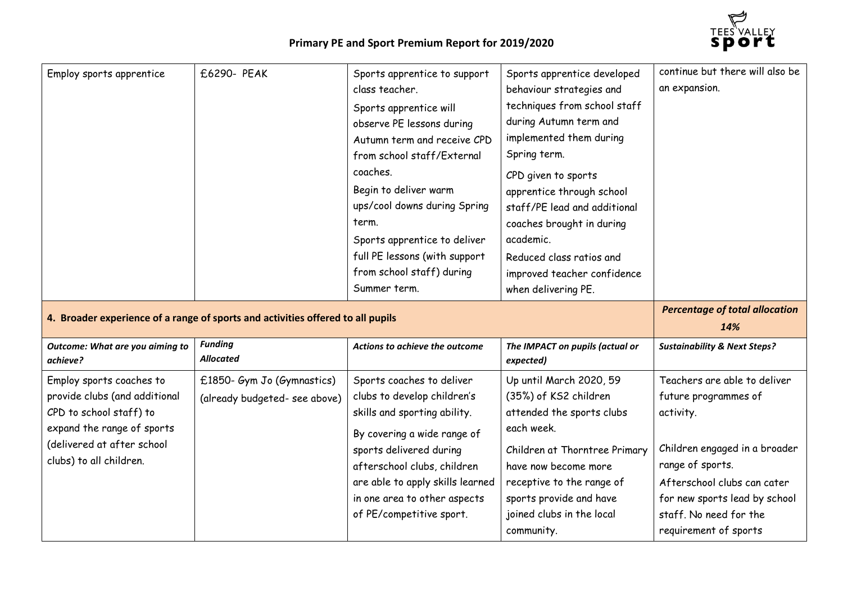

| Employ sports apprentice                                                        | £6290- PEAK                        | Sports apprentice to support<br>class teacher.<br>Sports apprentice will<br>observe PE lessons during<br>Autumn term and receive CPD<br>from school staff/External<br>coaches.<br>Begin to deliver warm<br>ups/cool downs during Spring<br>term.<br>Sports apprentice to deliver<br>full PE lessons (with support<br>from school staff) during<br>Summer term. | Sports apprentice developed<br>behaviour strategies and<br>techniques from school staff<br>during Autumn term and<br>implemented them during<br>Spring term.<br>CPD given to sports<br>apprentice through school<br>staff/PE lead and additional<br>coaches brought in during<br>academic.<br>Reduced class ratios and<br>improved teacher confidence<br>when delivering PE. | continue but there will also be<br>an expansion. |
|---------------------------------------------------------------------------------|------------------------------------|----------------------------------------------------------------------------------------------------------------------------------------------------------------------------------------------------------------------------------------------------------------------------------------------------------------------------------------------------------------|------------------------------------------------------------------------------------------------------------------------------------------------------------------------------------------------------------------------------------------------------------------------------------------------------------------------------------------------------------------------------|--------------------------------------------------|
| 4. Broader experience of a range of sports and activities offered to all pupils |                                    |                                                                                                                                                                                                                                                                                                                                                                |                                                                                                                                                                                                                                                                                                                                                                              | <b>Percentage of total allocation</b>            |
|                                                                                 |                                    |                                                                                                                                                                                                                                                                                                                                                                |                                                                                                                                                                                                                                                                                                                                                                              | 14%                                              |
| Outcome: What are you aiming to<br>achieve?                                     | <b>Funding</b><br><b>Allocated</b> | Actions to achieve the outcome                                                                                                                                                                                                                                                                                                                                 | The IMPACT on pupils (actual or<br>expected)                                                                                                                                                                                                                                                                                                                                 | <b>Sustainability &amp; Next Steps?</b>          |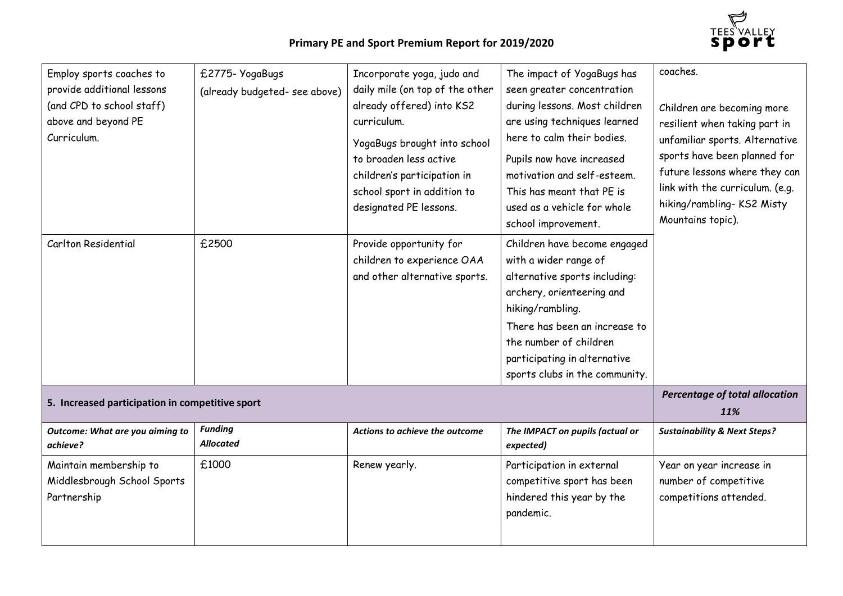

| Employ sports coaches to<br>provide additional lessons<br>(and CPD to school staff)<br>above and beyond PE<br>Curriculum. | £2775- YogaBugs<br>(already budgeted-see above) | Incorporate yoga, judo and<br>daily mile (on top of the other<br>already offered) into KS2<br>curriculum.<br>YogaBugs brought into school<br>to broaden less active<br>children's participation in<br>school sport in addition to<br>designated PE lessons. | The impact of YogaBugs has<br>seen greater concentration<br>during lessons. Most children<br>are using techniques learned<br>here to calm their bodies.<br>Pupils now have increased<br>motivation and self-esteem.<br>This has meant that PE is<br>used as a vehicle for whole<br>school improvement. | coaches.<br>Children are becoming more<br>resilient when taking part in<br>unfamiliar sports. Alternative<br>sports have been planned for<br>future lessons where they can<br>link with the curriculum. (e.g.<br>hiking/rambling-KS2 Misty<br>Mountains topic). |
|---------------------------------------------------------------------------------------------------------------------------|-------------------------------------------------|-------------------------------------------------------------------------------------------------------------------------------------------------------------------------------------------------------------------------------------------------------------|--------------------------------------------------------------------------------------------------------------------------------------------------------------------------------------------------------------------------------------------------------------------------------------------------------|-----------------------------------------------------------------------------------------------------------------------------------------------------------------------------------------------------------------------------------------------------------------|
| Carlton Residential                                                                                                       | £2500                                           | Provide opportunity for<br>children to experience OAA<br>and other alternative sports.                                                                                                                                                                      | Children have become engaged<br>with a wider range of<br>alternative sports including:<br>archery, orienteering and<br>hiking/rambling.<br>There has been an increase to<br>the number of children<br>participating in alternative<br>sports clubs in the community.                                   |                                                                                                                                                                                                                                                                 |
| 5. Increased participation in competitive sport                                                                           |                                                 |                                                                                                                                                                                                                                                             | Percentage of total allocation<br>11%                                                                                                                                                                                                                                                                  |                                                                                                                                                                                                                                                                 |
| Outcome: What are you aiming to<br>achieve?                                                                               | <b>Funding</b><br><b>Allocated</b>              | Actions to achieve the outcome                                                                                                                                                                                                                              | The IMPACT on pupils (actual or<br>expected)                                                                                                                                                                                                                                                           | <b>Sustainability &amp; Next Steps?</b>                                                                                                                                                                                                                         |
| Maintain membership to<br>Middlesbrough School Sports<br>Partnership                                                      | £1000                                           | Renew yearly.                                                                                                                                                                                                                                               | Participation in external<br>competitive sport has been<br>hindered this year by the<br>pandemic.                                                                                                                                                                                                      | Year on year increase in<br>number of competitive<br>competitions attended.                                                                                                                                                                                     |